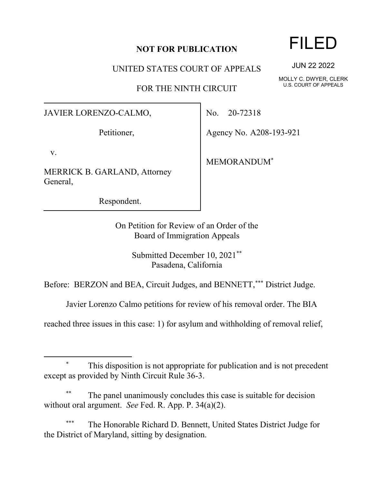## **NOT FOR PUBLICATION**

UNITED STATES COURT OF APPEALS

FOR THE NINTH CIRCUIT

JAVIER LORENZO-CALMO,

Petitioner,

v.

MERRICK B. GARLAND, Attorney General,

Respondent.

No. 20-72318

Agency No. A208-193-921

MEMORANDUM\*

On Petition for Review of an Order of the Board of Immigration Appeals

> Submitted December 10, 2021\*\* Pasadena, California

Before: BERZON and BEA, Circuit Judges, and BENNETT,\*\*\* District Judge.

Javier Lorenzo Calmo petitions for review of his removal order. The BIA

reached three issues in this case: 1) for asylum and withholding of removal relief,

The panel unanimously concludes this case is suitable for decision without oral argument. *See* Fed. R. App. P. 34(a)(2).

The Honorable Richard D. Bennett, United States District Judge for the District of Maryland, sitting by designation.

## FILED

JUN 22 2022

MOLLY C. DWYER, CLERK U.S. COURT OF APPEALS

This disposition is not appropriate for publication and is not precedent except as provided by Ninth Circuit Rule 36-3.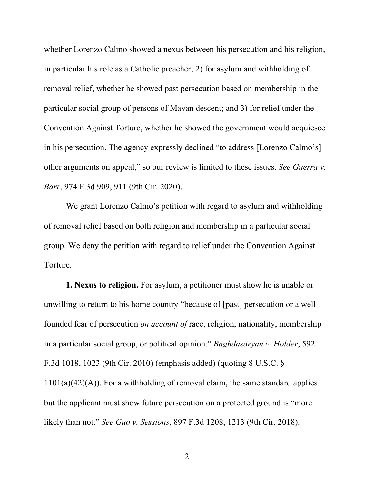whether Lorenzo Calmo showed a nexus between his persecution and his religion, in particular his role as a Catholic preacher; 2) for asylum and withholding of removal relief, whether he showed past persecution based on membership in the particular social group of persons of Mayan descent; and 3) for relief under the Convention Against Torture, whether he showed the government would acquiesce in his persecution. The agency expressly declined "to address [Lorenzo Calmo's] other arguments on appeal," so our review is limited to these issues. *See Guerra v. Barr*, 974 F.3d 909, 911 (9th Cir. 2020).

We grant Lorenzo Calmo's petition with regard to asylum and withholding of removal relief based on both religion and membership in a particular social group. We deny the petition with regard to relief under the Convention Against Torture.

**1. Nexus to religion.** For asylum, a petitioner must show he is unable or unwilling to return to his home country "because of [past] persecution or a wellfounded fear of persecution *on account of* race, religion, nationality, membership in a particular social group, or political opinion." *Baghdasaryan v. Holder*, 592 F.3d 1018, 1023 (9th Cir. 2010) (emphasis added) (quoting 8 U.S.C. §  $1101(a)(42)(A)$ . For a withholding of removal claim, the same standard applies but the applicant must show future persecution on a protected ground is "more likely than not." *See Guo v. Sessions*, 897 F.3d 1208, 1213 (9th Cir. 2018).

2 a set of  $\sim$  2 a set of  $\sim$  2 a set of  $\sim$  2 a set of  $\sim$  3 a set of  $\sim$  3 a set of  $\sim$  3 a set of  $\sim$  3 a set of  $\sim$  3 a set of  $\sim$  3 a set of  $\sim$  3 a set of  $\sim$  3 a set of  $\sim$  3 a set of  $\sim$  3 a set of  $\sim$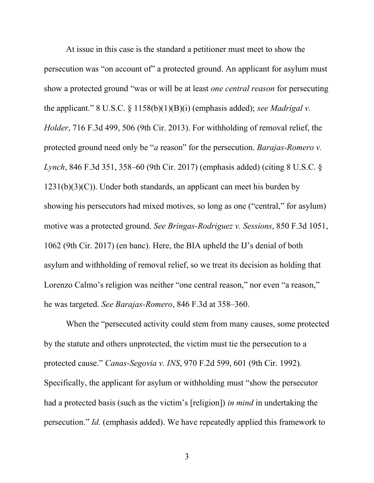At issue in this case is the standard a petitioner must meet to show the persecution was "on account of" a protected ground. An applicant for asylum must show a protected ground "was or will be at least *one central reason* for persecuting the applicant." 8 U.S.C. § 1158(b)(1)(B)(i) (emphasis added); *see Madrigal v. Holder*, 716 F.3d 499, 506 (9th Cir. 2013). For withholding of removal relief, the protected ground need only be "*a* reason" for the persecution. *Barajas-Romero v. Lynch*, 846 F.3d 351, 358–60 (9th Cir. 2017) (emphasis added) (citing 8 U.S.C. §  $1231(b)(3)(C)$ ). Under both standards, an applicant can meet his burden by showing his persecutors had mixed motives, so long as one ("central," for asylum) motive was a protected ground. *See Bringas-Rodriguez v. Sessions*, 850 F.3d 1051, 1062 (9th Cir. 2017) (en banc). Here, the BIA upheld the IJ's denial of both asylum and withholding of removal relief, so we treat its decision as holding that Lorenzo Calmo's religion was neither "one central reason," nor even "a reason," he was targeted. *See Barajas-Romero*, 846 F.3d at 358–360.

When the "persecuted activity could stem from many causes, some protected by the statute and others unprotected, the victim must tie the persecution to a protected cause." *Canas-Segovia v. INS*, 970 F.2d 599, 601 (9th Cir. 1992)*.* Specifically, the applicant for asylum or withholding must "show the persecutor had a protected basis (such as the victim's [religion]) *in mind* in undertaking the persecution." *Id.* (emphasis added). We have repeatedly applied this framework to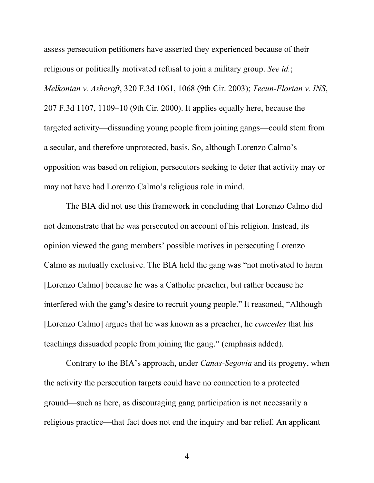assess persecution petitioners have asserted they experienced because of their religious or politically motivated refusal to join a military group. *See id.*; *Melkonian v. Ashcroft*, 320 F.3d 1061, 1068 (9th Cir. 2003); *Tecun-Florian v. INS*, 207 F.3d 1107, 1109–10 (9th Cir. 2000). It applies equally here, because the targeted activity—dissuading young people from joining gangs—could stem from a secular, and therefore unprotected, basis. So, although Lorenzo Calmo's opposition was based on religion, persecutors seeking to deter that activity may or may not have had Lorenzo Calmo's religious role in mind.

The BIA did not use this framework in concluding that Lorenzo Calmo did not demonstrate that he was persecuted on account of his religion. Instead, its opinion viewed the gang members' possible motives in persecuting Lorenzo Calmo as mutually exclusive. The BIA held the gang was "not motivated to harm [Lorenzo Calmo] because he was a Catholic preacher, but rather because he interfered with the gang's desire to recruit young people." It reasoned, "Although [Lorenzo Calmo] argues that he was known as a preacher, he *concedes* that his teachings dissuaded people from joining the gang." (emphasis added).

Contrary to the BIA's approach, under *Canas-Segovia* and its progeny, when the activity the persecution targets could have no connection to a protected ground—such as here, as discouraging gang participation is not necessarily a religious practice—that fact does not end the inquiry and bar relief. An applicant

4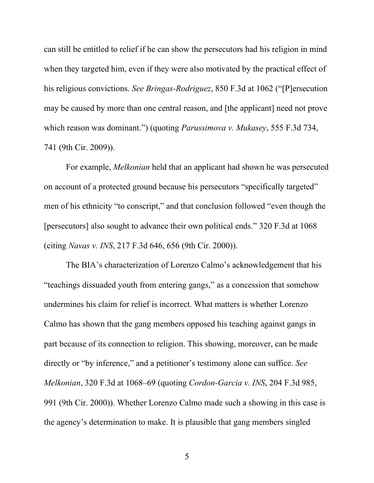can still be entitled to relief if he can show the persecutors had his religion in mind when they targeted him, even if they were also motivated by the practical effect of his religious convictions. *See Bringas-Rodriguez*, 850 F.3d at 1062 ("[P]ersecution may be caused by more than one central reason, and [the applicant] need not prove which reason was dominant.") (quoting *Parussimova v. Mukasey*, 555 F.3d 734, 741 (9th Cir. 2009)).

For example, *Melkonian* held that an applicant had shown he was persecuted on account of a protected ground because his persecutors "specifically targeted" men of his ethnicity "to conscript," and that conclusion followed "even though the [persecutors] also sought to advance their own political ends." 320 F.3d at 1068 (citing *Navas v. INS*, 217 F.3d 646, 656 (9th Cir. 2000)).

The BIA's characterization of Lorenzo Calmo's acknowledgement that his "teachings dissuaded youth from entering gangs," as a concession that somehow undermines his claim for relief is incorrect. What matters is whether Lorenzo Calmo has shown that the gang members opposed his teaching against gangs in part because of its connection to religion. This showing, moreover, can be made directly or "by inference," and a petitioner's testimony alone can suffice. *See Melkonian*, 320 F.3d at 1068–69 (quoting *Cordon-Garcia v. INS*, 204 F.3d 985, 991 (9th Cir. 2000)). Whether Lorenzo Calmo made such a showing in this case is the agency's determination to make. It is plausible that gang members singled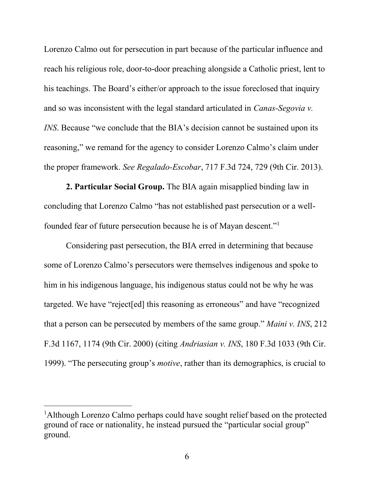Lorenzo Calmo out for persecution in part because of the particular influence and reach his religious role, door-to-door preaching alongside a Catholic priest, lent to his teachings. The Board's either/or approach to the issue foreclosed that inquiry and so was inconsistent with the legal standard articulated in *Canas-Segovia v. INS*. Because "we conclude that the BIA's decision cannot be sustained upon its reasoning," we remand for the agency to consider Lorenzo Calmo's claim under the proper framework. *See Regalado-Escobar*, 717 F.3d 724, 729 (9th Cir. 2013).

**2. Particular Social Group.** The BIA again misapplied binding law in concluding that Lorenzo Calmo "has not established past persecution or a wellfounded fear of future persecution because he is of Mayan descent."<sup>1</sup>

Considering past persecution, the BIA erred in determining that because some of Lorenzo Calmo's persecutors were themselves indigenous and spoke to him in his indigenous language, his indigenous status could not be why he was targeted. We have "reject[ed] this reasoning as erroneous" and have "recognized that a person can be persecuted by members of the same group." *Maini v. INS*, 212 F.3d 1167, 1174 (9th Cir. 2000) (citing *Andriasian v. INS*, 180 F.3d 1033 (9th Cir. 1999). "The persecuting group's *motive*, rather than its demographics, is crucial to

<sup>&</sup>lt;sup>1</sup>Although Lorenzo Calmo perhaps could have sought relief based on the protected ground of race or nationality, he instead pursued the "particular social group" ground.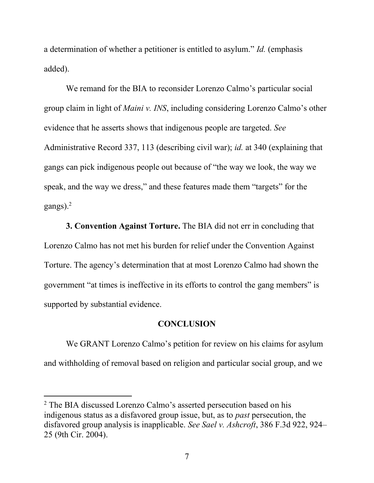a determination of whether a petitioner is entitled to asylum." *Id.* (emphasis added).

We remand for the BIA to reconsider Lorenzo Calmo's particular social group claim in light of *Maini v. INS*, including considering Lorenzo Calmo's other evidence that he asserts shows that indigenous people are targeted. *See* Administrative Record 337, 113 (describing civil war); *id.* at 340 (explaining that gangs can pick indigenous people out because of "the way we look, the way we speak, and the way we dress," and these features made them "targets" for the gangs). $<sup>2</sup>$ </sup>

**3. Convention Against Torture.** The BIA did not err in concluding that Lorenzo Calmo has not met his burden for relief under the Convention Against Torture. The agency's determination that at most Lorenzo Calmo had shown the government "at times is ineffective in its efforts to control the gang members" is supported by substantial evidence.

## **CONCLUSION**

We GRANT Lorenzo Calmo's petition for review on his claims for asylum and withholding of removal based on religion and particular social group, and we

<sup>&</sup>lt;sup>2</sup> The BIA discussed Lorenzo Calmo's asserted persecution based on his indigenous status as a disfavored group issue, but, as to *past* persecution, the disfavored group analysis is inapplicable. *See Sael v. Ashcroft*, 386 F.3d 922, 924– 25 (9th Cir. 2004).